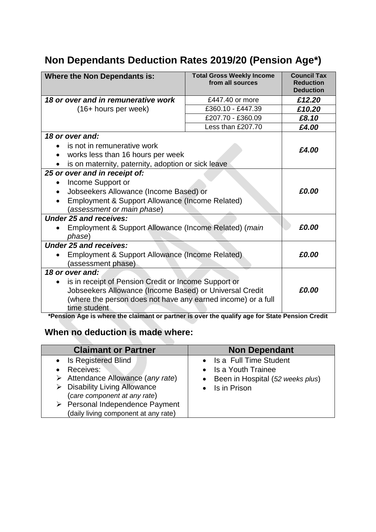## **Non Dependants Deduction Rates 2019/20 (Pension Age\*)**

| <b>Where the Non Dependants is:</b>                                                                                                                                                                                             | <b>Total Gross Weekly Income</b><br>from all sources | <b>Council Tax</b><br><b>Reduction</b><br><b>Deduction</b> |
|---------------------------------------------------------------------------------------------------------------------------------------------------------------------------------------------------------------------------------|------------------------------------------------------|------------------------------------------------------------|
| 18 or over and in remunerative work                                                                                                                                                                                             | £447.40 or more                                      | £12.20                                                     |
| (16+ hours per week)                                                                                                                                                                                                            | £360.10 - £447.39                                    | £10.20                                                     |
|                                                                                                                                                                                                                                 | £207.70 - £360.09                                    | £8.10                                                      |
|                                                                                                                                                                                                                                 | Less than £207.70                                    | £4.00                                                      |
| 18 or over and:<br>is not in remunerative work<br>works less than 16 hours per week<br>is on maternity, paternity, adoption or sick leave                                                                                       |                                                      | £4.00                                                      |
| 25 or over and in receipt of:<br>Income Support or<br>Jobseekers Allowance (Income Based) or<br>Employment & Support Allowance (Income Related)<br>(assessment or main phase)                                                   |                                                      | £0.00                                                      |
| <b>Under 25 and receives:</b><br>Employment & Support Allowance (Income Related) (main<br>phase)                                                                                                                                |                                                      | £0.00                                                      |
| <b>Under 25 and receives:</b><br>Employment & Support Allowance (Income Related)<br>(assessment phase)                                                                                                                          |                                                      | £0.00                                                      |
| 18 or over and:<br>is in receipt of Pension Credit or Income Support or<br>$\bullet$<br>Jobseekers Allowance (Income Based) or Universal Credit<br>(where the person does not have any earned income) or a full<br>time student |                                                      | £0.00                                                      |

**\*Pension Age is where the claimant or partner is over the qualify age for State Pension Credit**

## **When no deduction is made where:**

| <b>Claimant or Partner</b>                                                                                                                                                                                                                                              | <b>Non Dependant</b>                                                                                     |  |
|-------------------------------------------------------------------------------------------------------------------------------------------------------------------------------------------------------------------------------------------------------------------------|----------------------------------------------------------------------------------------------------------|--|
| • Is Registered Blind<br><b>Receives:</b><br>$\triangleright$ Attendance Allowance (any rate)<br>$\triangleright$ Disability Living Allowance<br>(care component at any rate)<br>$\triangleright$ Personal Independence Payment<br>(daily living component at any rate) | • Is a Full Time Student<br>• Is a Youth Trainee<br>• Been in Hospital (52 weeks plus)<br>• Is in Prison |  |